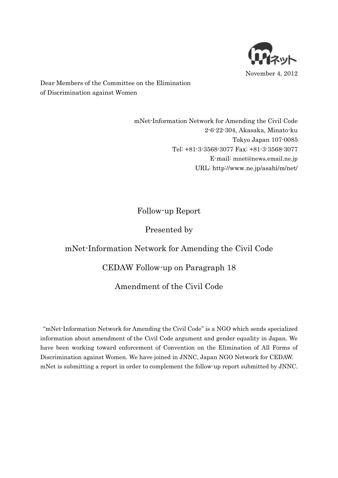

Dear Members of the Committee on the Elimination of Discrimination against Women

> mNet-Information Network for Amending the Civil Code 2-6-22-304, Akasaka, Minato-ku Tokyo Japan 107-0085 Tel: +81-3-3568-3077 Fax: +81-3-3568-3077 E-mail: [mnet@news.email.ne.jp](mailto:mnet@news.email.ne.jp) URL: http://www.ne.jp/asahi/m/net/

# Follow-up Report

## Presented by

# mNet-Information Network for Amending the Civil Code

## CEDAW Follow-up on Paragraph 18

## Amendment of the Civil Code

"mNet-Information Network for Amending the Civil Code" is a NGO which sends specialized information about amendment of the Civil Code argument and gender equality in Japan. We have been working toward enforcement of Convention on the Elimination of All Forms of Discrimination against Women. We have joined in JNNC, Japan NGO Network for CEDAW. mNet is submitting a report in order to complement the follow-up report submitted by JNNC.